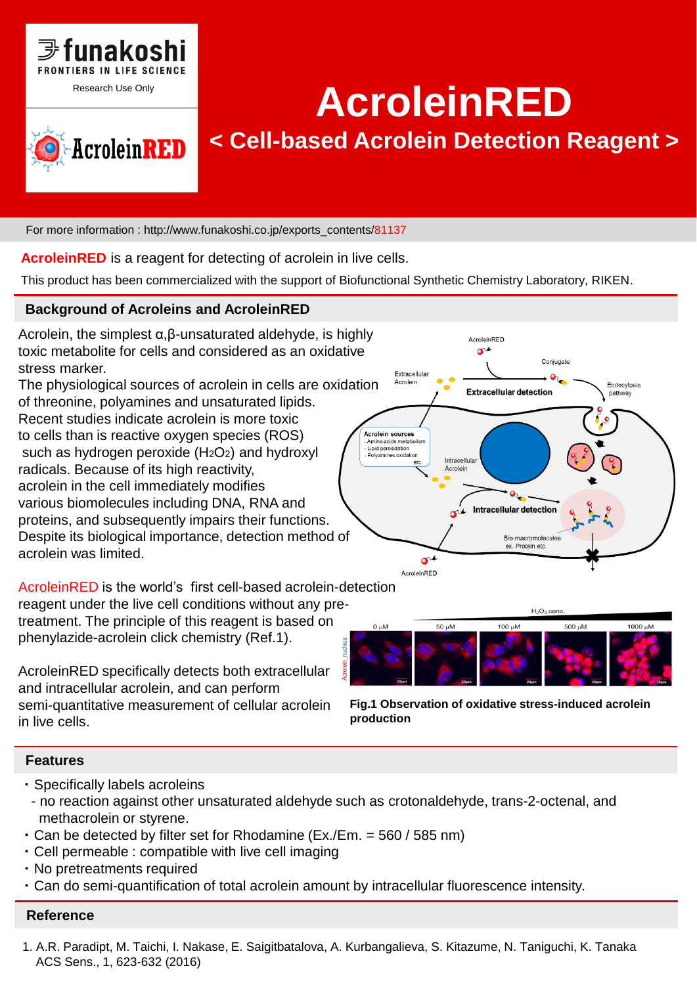



# AcroleinRED

## **< Cell-based Acrolein Detection Reagent >**

For more information : http://www.funakoshi.co.jp/exports\_contents/81137

**AcroleinRED** is a reagent for detecting of acrolein in live cells.

This product has been commercialized with the support of Biofunctional Synthetic Chemistry Laboratory, RIKEN.

### **Background of Acroleins and AcroleinRED**

Acrolein, the simplest  $\alpha, \beta$ -unsaturated aldehyde, is highly toxic metabolite for cells and considered as an oxidative stress marker.

The physiological sources of acrolein in cells are oxidation of threonine, polyamines and unsaturated lipids. Recent studies indicate acrolein is more toxic to cells than is reactive oxygen species (ROS) such as hydrogen peroxide (H<sub>2</sub>O<sub>2</sub>) and hydroxyl radicals. Because of its high reactivity,

acrolein in the cell immediately modifies various biomolecules including DNA, RNA and proteins, and subsequently impairs their functions. Despite its biological importance, detection method of acrolein was limited.

AcroleinRED is the world's first cell-based acrolein-detection

reagent under the live cell conditions without any pretreatment. The principle of this reagent is based on phenylazide-acrolein click chemistry (Ref.1).

AcroleinRED specifically detects both extracellular and intracellular acrolein, and can perform semi-quantitative measurement of cellular acrolein in live cells.





**Fig.1 Observation of oxidative stress-induced acrolein production**

### **Features**

- ・ Specifically labels acroleins
- no reaction against other unsaturated aldehyde such as crotonaldehyde, trans-2-octenal, and methacrolein or styrene.
- $\cdot$  Can be detected by filter set for Rhodamine (Ex./Em. = 560 / 585 nm)
- ・ Cell permeable : compatible with live cell imaging
- ・ No pretreatments required
- ・ Can do semi-quantification of total acrolein amount by intracellular fluorescence intensity.

### **Reference**

1. A.R. Paradipt, M. Taichi, I. Nakase, E. Saigitbatalova, A. Kurbangalieva, S. Kitazume, N. Taniguchi, K. Tanaka ACS Sens., 1, 623-632 (2016)